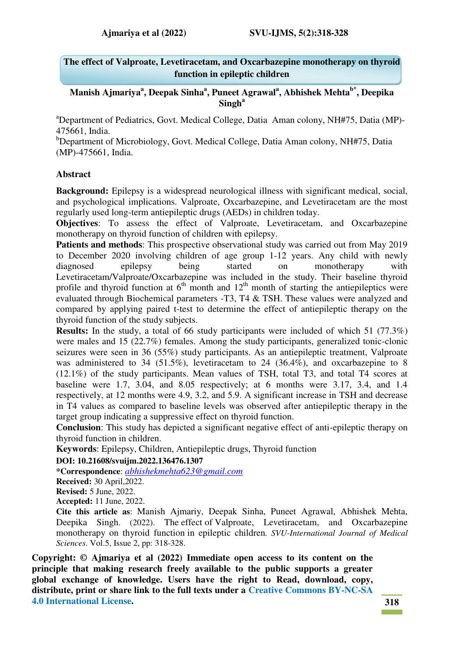**The effect of Valproate, Levetiracetam, and Oxcarbazepine monotherapy on thyroid function in epileptic children** 

**Manish Ajmariya<sup>a</sup> , Deepak Sinha<sup>a</sup> , Puneet Agrawal<sup>a</sup> , Abhishek Mehtab\*, Deepika Singh<sup>a</sup>**

<sup>a</sup>Department of Pediatrics, Govt. Medical College, Datia Aman colony, NH#75, Datia (MP)-475661, India.

<sup>b</sup>Department of Microbiology, Govt. Medical College, Datia Aman colony, NH#75, Datia (MP)-475661, India.

#### **Abstract**

**Background:** Epilepsy is a widespread neurological illness with significant medical, social, and psychological implications. Valproate, Oxcarbazepine, and Levetiracetam are the most regularly used long-term antiepileptic drugs (AEDs) in children today.

**Objectives:** To assess the effect of Valproate, Levetiracetam, and Oxcarbazepine monotherapy on thyroid function of children with epilepsy.

**Patients and methods**: This prospective observational study was carried out from May 2019 to December 2020 involving children of age group 1-12 years. Any child with newly diagnosed epilepsy being started on monotherapy with Levetiracetam/Valproate/Oxcarbazepine was included in the study. Their baseline thyroid profile and thyroid function at  $6<sup>th</sup>$  month and  $12<sup>th</sup>$  month of starting the antiepileptics were evaluated through Biochemical parameters -T3, T4 & TSH. These values were analyzed and compared by applying paired t-test to determine the effect of antiepileptic therapy on the thyroid function of the study subjects.

**Results:** In the study, a total of 66 study participants were included of which 51 (77.3%) were males and 15 (22.7%) females. Among the study participants, generalized tonic-clonic seizures were seen in 36 (55%) study participants. As an antiepileptic treatment, Valproate was administered to 34 (51.5%), levetiracetam to 24 (36.4%), and oxcarbazepine to 8 (12.1%) of the study participants. Mean values of TSH, total T3, and total T4 scores at baseline were 1.7, 3.04, and 8.05 respectively; at 6 months were 3.17, 3.4, and 1.4 respectively, at 12 months were 4.9, 3.2, and 5.9. A significant increase in TSH and decrease in T4 values as compared to baseline levels was observed after antiepileptic therapy in the target group indicating a suppressive effect on thyroid function.

**Conclusion**: This study has depicted a significant negative effect of anti-epileptic therapy on thyroid function in children.

**Keywords**: Epilepsy, Children, Antiepileptic drugs, Thyroid function

#### **DOI: 10.21608/svuijm.2022.136476.1307**

**\*Correspondence**: *[abhishekmehta623@gmail.com](mailto:abhishekmehta623@gmail.com)*

**Received:** 30 April,2022.

**Revised:** 5 June, 2022.

**Accepted:** 11 June, 2022.

**Cite this article as**: Manish Ajmariy, Deepak Sinha, Puneet Agrawal, Abhishek Mehta, Deepika Singh. (2022). The effect of Valproate, Levetiracetam, and Oxcarbazepine monotherapy on thyroid function in epileptic children*. SVU-International Journal of Medical Sciences*. Vol.5, Issue 2, pp: 318-328.

**Copyright: © Ajmariya et al (2022) Immediate open access to its content on the principle that making research freely available to the public supports a greater global exchange of knowledge. Users have the right to Read, download, copy, distribute, print or share link to the full texts under a [Creative Commons BY-NC-SA](https://creativecommons.org/licenses/by-nc-sa/4.0/)  [4.0 International License.](https://creativecommons.org/licenses/by-nc-sa/4.0/)**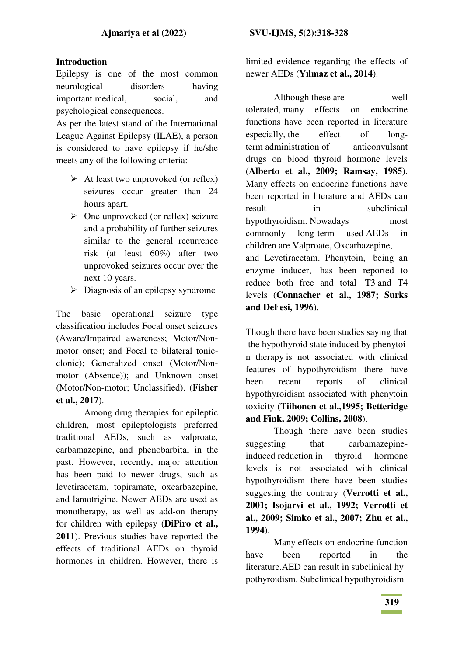### **Introduction**

Epilepsy is one of the most common neurological disorders having important medical, social, and psychological consequences.

As per the latest stand of the International League Against Epilepsy (ILAE), a person is considered to have epilepsy if he/she meets any of the following criteria:

- $\triangleright$  At least two unprovoked (or reflex) seizures occur greater than 24 hours apart.
- $\triangleright$  One unprovoked (or reflex) seizure and a probability of further seizures similar to the general recurrence risk (at least 60%) after two unprovoked seizures occur over the next 10 years.
- $\triangleright$  Diagnosis of an epilepsy syndrome

The basic operational seizure type classification includes Focal onset seizures (Aware/Impaired awareness; Motor/Nonmotor onset; and Focal to bilateral tonicclonic); Generalized onset (Motor/Nonmotor (Absence)); and Unknown onset (Motor/Non-motor; Unclassified). (**Fisher et al., 2017**).

Among drug therapies for epileptic children, most epileptologists preferred traditional AEDs, such as valproate, carbamazepine, and phenobarbital in the past. However, recently, major attention has been paid to newer drugs, such as levetiracetam, topiramate, oxcarbazepine, and lamotrigine. Newer AEDs are used as monotherapy, as well as add-on therapy for children with epilepsy (**DiPiro et al., 2011**). Previous studies have reported the effects of traditional AEDs on thyroid hormones in children. However, there is limited evidence regarding the effects of newer AEDs (**Yılmaz et al., 2014**).

Although these are well tolerated, many effects on endocrine functions have been reported in literature especially, the effect of longterm administration of anticonvulsant drugs on blood thyroid hormone levels (**Alberto et al., 2009; Ramsay, 1985**). Many effects on endocrine functions have been reported in literature and AEDs can result in subclinical hypothyroidism. Nowadays most commonly long-term used AEDs in children are Valproate, Oxcarbazepine, and Levetiracetam. Phenytoin, being an enzyme inducer, has been reported to

reduce both free and total T3 and T4 levels (**Connacher et al., 1987; Surks and DeFesi, 1996**).

Though there have been studies saying that the hypothyroid state induced by phenytoi n therapy is not associated with clinical features of hypothyroidism there have been recent reports of clinical hypothyroidism associated with phenytoin toxicity (**Tiihonen et al.,1995; Betteridge and Fink, 2009; Collins, 2008**).

Though there have been studies suggesting that carbamazepineinduced reduction in thyroid hormone levels is not associated with clinical hypothyroidism there have been studies suggesting the contrary (**Verrotti et al., 2001; Isojarvi et al., 1992; Verrotti et al., 2009; Simko et al., 2007; Zhu et al., 1994**).

Many effects on endocrine function have been reported in the literature.AED can result in subclinical hy pothyroidism. Subclinical hypothyroidism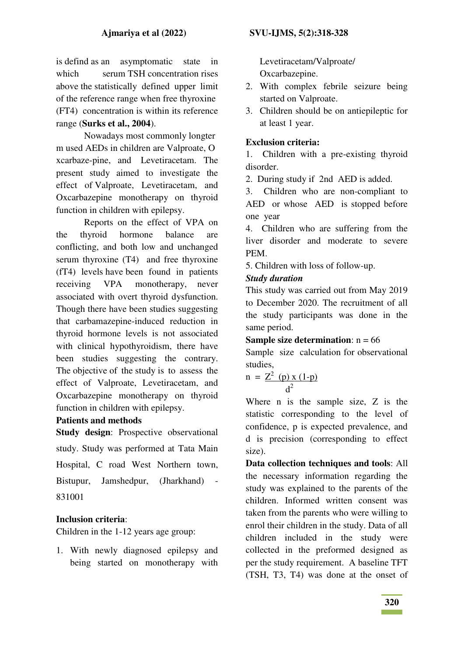is defind as an asymptomatic state in which serum TSH concentration rises above the statistically defined upper limit of the reference range when free thyroxine (FT4) concentration is within its reference range (**Surks et al., 2004**).

Nowadays most commonly longter m used AEDs in children are Valproate, O xcarbaze-pine, and Levetiracetam. The present study aimed to investigate the effect of Valproate, Levetiracetam, and Oxcarbazepine monotherapy on thyroid function in children with epilepsy.

Reports on the effect of VPA on the thyroid hormone balance are conflicting, and both low and unchanged serum thyroxine (T4) and free thyroxine (fT4) levels have been found in patients receiving VPA monotherapy, never associated with overt thyroid dysfunction. Though there have been studies suggesting that carbamazepine-induced reduction in thyroid hormone levels is not associated with clinical hypothyroidism, there have been studies suggesting the contrary. The objective of the study is to assess the effect of Valproate, Levetiracetam, and Oxcarbazepine monotherapy on thyroid function in children with epilepsy.

## **Patients and methods**

**Study design:** Prospective observational study. Study was performed at Tata Main Hospital, C road West Northern town, Bistupur, Jamshedpur, (Jharkhand) - 831001

# **Inclusion criteria**:

Children in the 1-12 years age group:

1. With newly diagnosed epilepsy and being started on monotherapy with Levetiracetam/Valproate/ Oxcarbazepine.

- 2. With complex febrile seizure being started on Valproate.
- 3. Children should be on antiepileptic for at least 1 year.

# **Exclusion criteria:**

1. Children with a pre-existing thyroid disorder.

2. During study if 2nd AED is added.

3. Children who are non-compliant to AED or whose AED is stopped before one year

4. Children who are suffering from the liver disorder and moderate to severe PEM.

5. Children with loss of follow-up.

# *Study duration*

This study was carried out from May 2019 to December 2020. The recruitment of all the study participants was done in the same period.

#### **Sample size determination:**  $n = 66$

Sample size calculation for observational studies,

$$
n = \frac{Z^2 (p) x (1-p)}{d^2}
$$

Where n is the sample size, Z is the statistic corresponding to the level of confidence, p is expected prevalence, and d is precision (corresponding to effect size).

**Data collection techniques and tools**: All the necessary information regarding the study was explained to the parents of the children. Informed written consent was taken from the parents who were willing to enrol their children in the study. Data of all children included in the study were collected in the preformed designed as per the study requirement. A baseline TFT (TSH, T3, T4) was done at the onset of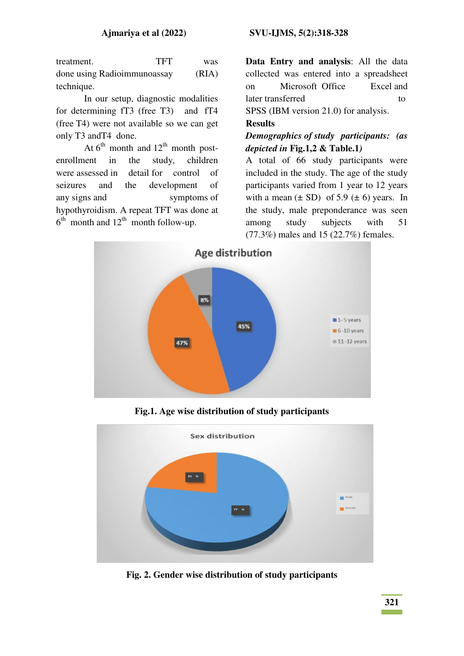treatment. TFT was done using Radioimmunoassay (RIA) technique.

In our setup, diagnostic modalities for determining fT3 (free T3) and fT4 (free T4) were not available so we can get only T3 andT4 done.

At  $6^{th}$  month and  $12^{th}$  month postenrollment in the study, children were assessed in detail for control of seizures and the development of any signs and symptoms of hypothyroidism. A repeat TFT was done at  $6<sup>th</sup>$  month and  $12<sup>th</sup>$  month follow-up.

**Data Entry and analysis**: All the data collected was entered into a spreadsheet on Microsoft Office Excel and later transferred to to SPSS (IBM version 21.0) for analysis.

### **Results**

### *Demographics of study participants: (as depicted in* **Fig.1,2 & Table.1***)*

A total of 66 study participants were included in the study. The age of the study participants varied from 1 year to 12 years with a mean  $(\pm SD)$  of 5.9  $(\pm 6)$  years. In the study, male preponderance was seen among study subjects with 51 (77.3%) males and 15 (22.7%) females.



**Fig.1. Age wise distribution of study participants** 



**Fig. 2. Gender wise distribution of study participants**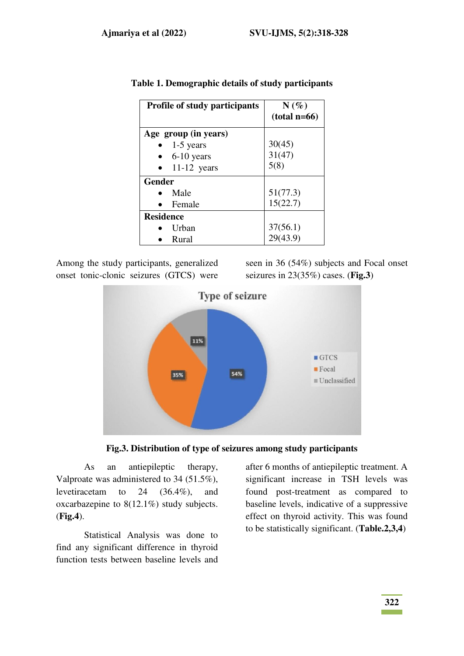| Profile of study participants | $N(\%)$<br>$(total n=66)$ |
|-------------------------------|---------------------------|
| Age group (in years)          |                           |
| 1-5 years                     | 30(45)                    |
| 6-10 years                    | 31(47)                    |
| $11-12$ years                 | 5(8)                      |
| <b>Gender</b>                 |                           |
| Male                          | 51(77.3)                  |
| Female                        | 15(22.7)                  |
| <b>Residence</b>              |                           |
| Urban                         | 37(56.1)                  |
| Rural                         | 29(43.9)                  |

|  | Table 1. Demographic details of study participants |  |  |
|--|----------------------------------------------------|--|--|
|  |                                                    |  |  |

Among the study participants, generalized onset tonic-clonic seizures (GTCS) were

seen in 36 (54%) subjects and Focal onset seizures in 23(35%) cases. (**Fig.3**)





As an antiepileptic therapy, Valproate was administered to 34 (51.5%), levetiracetam to 24 (36.4%), and oxcarbazepine to 8(12.1%) study subjects. (**Fig.4**).

Statistical Analysis was done to find any significant difference in thyroid function tests between baseline levels and after 6 months of antiepileptic treatment. A significant increase in TSH levels was found post-treatment as compared to baseline levels, indicative of a suppressive effect on thyroid activity. This was found to be statistically significant. (**Table.2,3,4**)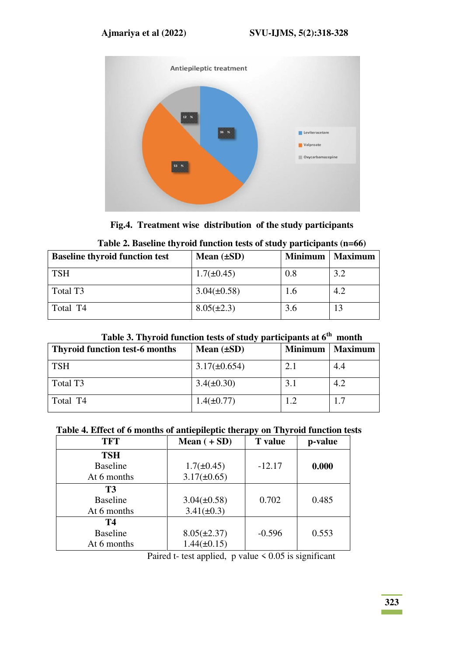

**Fig.4. Treatment wise distribution of the study participants** 

| <b>Baseline thyroid function test</b> | Mean $(\pm SD)$  | <b>Minimum</b> | <b>Maximum</b> |
|---------------------------------------|------------------|----------------|----------------|
| <b>TSH</b>                            | $1.7(\pm 0.45)$  | 0.8            | 3.2            |
| Total T <sub>3</sub>                  | $3.04(\pm 0.58)$ | 1.6            | 4.2            |
| Total T4                              | $8.05(\pm 2.3)$  | 3.6            |                |

|  | Table 2. Baseline thyroid function tests of study participants (n=66) |
|--|-----------------------------------------------------------------------|
|--|-----------------------------------------------------------------------|

|  |  |  | Table 3. Thyroid function tests of study participants at 6 <sup>th</sup> month |  |
|--|--|--|--------------------------------------------------------------------------------|--|
|--|--|--|--------------------------------------------------------------------------------|--|

| <b>Thyroid function test-6 months</b> | Mean $(\pm SD)$   | <b>Minimum</b> | <b>Maximum</b> |
|---------------------------------------|-------------------|----------------|----------------|
| <b>TSH</b>                            | $3.17(\pm 0.654)$ | 2.1            | 4.4            |
| Total T <sub>3</sub>                  | $3.4(\pm 0.30)$   | 3.1            | 4.2            |
| Total T4                              | $1.4(\pm 0.77)$   |                | 1.7            |

# **Table 4. Effect of 6 months of antiepileptic therapy on Thyroid function tests**

| <b>TFT</b>      | Mean $(+ SD)$    | <b>T</b> value | p-value |
|-----------------|------------------|----------------|---------|
| <b>TSH</b>      |                  |                |         |
| <b>Baseline</b> | $1.7(\pm 0.45)$  | $-12.17$       | 0.000   |
| At 6 months     | $3.17(\pm 0.65)$ |                |         |
| <b>T3</b>       |                  |                |         |
| <b>Baseline</b> | $3.04(\pm 0.58)$ | 0.702          | 0.485   |
| At 6 months     | $3.41(\pm 0.3)$  |                |         |
| Т4              |                  |                |         |
| <b>Baseline</b> | $8.05(\pm 2.37)$ | $-0.596$       | 0.553   |
| At 6 months     | $1.44(\pm 0.15)$ |                |         |

Paired t- test applied,  $p$  value  $\leq 0.05$  is significant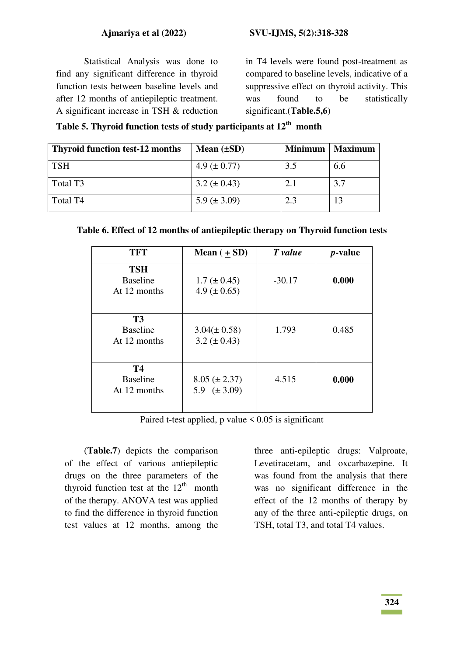Statistical Analysis was done to find any significant difference in thyroid function tests between baseline levels and after 12 months of antiepileptic treatment. A significant increase in TSH & reduction

in T4 levels were found post-treatment as compared to baseline levels, indicative of a suppressive effect on thyroid activity. This was found to be statistically significant.(**Table.5,6**)

| Table 5. Thyroid function tests of study participants at $12th$ month |  |  |  |  |  |  |
|-----------------------------------------------------------------------|--|--|--|--|--|--|
|-----------------------------------------------------------------------|--|--|--|--|--|--|

| <b>Thyroid function test-12 months</b> | Mean $(\pm SD)$  | <b>Minimum</b> | <b>Maximum</b> |
|----------------------------------------|------------------|----------------|----------------|
| <b>TSH</b>                             | 4.9 $(\pm 0.77)$ | 3.5            | 6.6            |
| Total T <sub>3</sub>                   | $3.2 (\pm 0.43)$ | 2.1            | 3.7            |
| Total T <sub>4</sub>                   | 5.9 $(\pm 3.09)$ | 2.3            |                |

|  |  | Table 6. Effect of 12 months of antiepileptic therapy on Thyroid function tests |  |
|--|--|---------------------------------------------------------------------------------|--|
|  |  |                                                                                 |  |

| TFT                                           | Mean $(\pm SD)$                       | T value  | <i>p</i> -value |
|-----------------------------------------------|---------------------------------------|----------|-----------------|
| <b>TSH</b><br><b>Baseline</b><br>At 12 months | $1.7 (\pm 0.45)$<br>4.9 ( $\pm$ 0.65) | $-30.17$ | 0.000           |
| <b>T3</b><br><b>Baseline</b><br>At 12 months  | $3.04(\pm 0.58)$<br>$3.2 (\pm 0.43)$  | 1.793    | 0.485           |
| <b>T4</b><br><b>Baseline</b><br>At 12 months  | $8.05 (\pm 2.37)$<br>5.9 $(\pm 3.09)$ | 4.515    | 0.000           |

Paired t-test applied, p value  $\leq 0.05$  is significant

(**Table.7**) depicts the comparison of the effect of various antiepileptic drugs on the three parameters of the thyroid function test at the  $12<sup>th</sup>$  month of the therapy. ANOVA test was applied to find the difference in thyroid function test values at 12 months, among the

three anti-epileptic drugs: Valproate, Levetiracetam, and oxcarbazepine. It was found from the analysis that there was no significant difference in the effect of the 12 months of therapy by any of the three anti-epileptic drugs, on TSH, total T3, and total T4 values.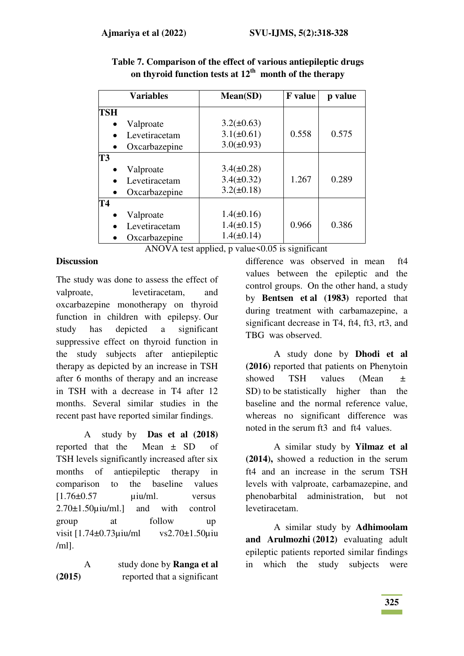|                | <b>Variables</b> | Mean(SD)        | <b>F</b> value | p value |
|----------------|------------------|-----------------|----------------|---------|
| TSH            |                  |                 |                |         |
|                | Valproate        | $3.2(\pm 0.63)$ |                |         |
|                | Levetiracetam    | $3.1(\pm 0.61)$ | 0.558          | 0.575   |
|                | Oxcarbazepine    | $3.0(\pm 0.93)$ |                |         |
| T <sub>3</sub> |                  |                 |                |         |
|                | Valproate        | $3.4(\pm 0.28)$ |                |         |
|                | Levetiracetam    | $3.4(\pm 0.32)$ | 1.267          | 0.289   |
|                | Oxcarbazepine    | $3.2(\pm 0.18)$ |                |         |
| T4             |                  |                 |                |         |
|                | Valproate        | $1.4(\pm 0.16)$ |                |         |
|                | Levetiracetam    | $1.4(\pm 0.15)$ | 0.966          | 0.386   |
|                | Oxcarbazepine    | $1.4(\pm 0.14)$ |                |         |

**Table 7. Comparison of the effect of various antiepileptic drugs**  on thyroid function tests at  $12^{th}$  month of the therapy

ANOVA test applied, p value $<0.05$  is significant

### **Discussion**

The study was done to assess the effect of valproate, levetiracetam, and oxcarbazepine monotherapy on thyroid function in children with epilepsy. Our study has depicted a significant suppressive effect on thyroid function in the study subjects after antiepileptic therapy as depicted by an increase in TSH after 6 months of therapy and an increase in TSH with a decrease in T4 after 12 months. Several similar studies in the recent past have reported similar findings.

A study by **Das et al (2018)** reported that the Mean ± SD of TSH levels significantly increased after six months of antiepileptic therapy in comparison to the baseline values  $[1.76\pm0.57$   $\mu$ iu/ml. versus 2.70±1.50µiu/ml.] and with control group at follow up visit [1.74±0.73µiu/ml vs2.70±1.50µiu /ml].

A study done by **Ranga et al (2015)** reported that a significant difference was observed in mean ft4 values between the epileptic and the control groups. On the other hand, a study by **Bentsen et al (1983)** reported that during treatment with carbamazepine, a significant decrease in T4, ft4, ft3, rt3, and TBG was observed.

A study done by **Dhodi et al (2016)** reported that patients on Phenytoin showed TSH values (Mean  $\pm$ SD) to be statistically higher than the baseline and the normal reference value, whereas no significant difference was noted in the serum ft3 and ft4 values.

A similar study by **Yilmaz et al (2014),** showed a reduction in the serum ft4 and an increase in the serum TSH levels with valproate, carbamazepine, and phenobarbital administration, but not levetiracetam.

A similar study by **Adhimoolam an[d Arulmozhi](https://www.ncbi.nlm.nih.gov/pubmed/?term=Arulmozhi%20R%5BAuthor%5D&cauthor=true&cauthor_uid=27512707) (2012)** evaluating adult epileptic patients reported similar findings in which the study subjects were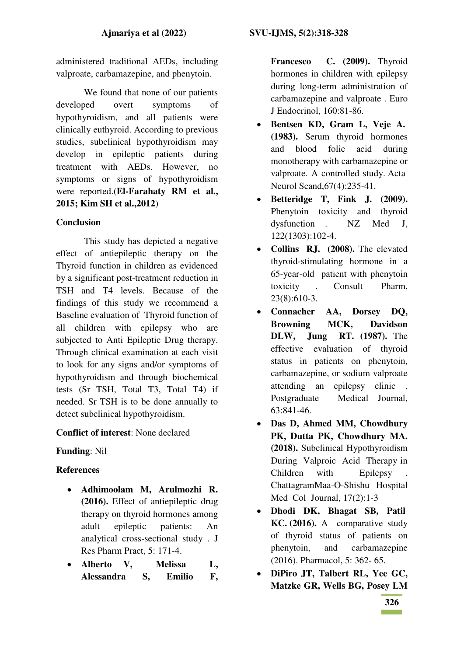administered traditional AEDs, including valproate, carbamazepine, and phenytoin.

We found that none of our patients developed overt symptoms of hypothyroidism, and all patients were clinically euthyroid. According to previous studies, subclinical hypothyroidism may develop in epileptic patients during treatment with AEDs. However, no symptoms or signs of hypothyroidism were reported.(**El-Farahaty RM et al., 2015; Kim SH et al.,2012**)

## **Conclusion**

This study has depicted a negative effect of antiepileptic therapy on the Thyroid function in children as evidenced by a significant post-treatment reduction in TSH and T4 levels. Because of the findings of this study we recommend a Baseline evaluation of Thyroid function of all children with epilepsy who are subjected to Anti Epileptic Drug therapy. Through clinical examination at each visit to look for any signs and/or symptoms of hypothyroidism and through biochemical tests (Sr TSH, Total T3, Total T4) if needed. Sr TSH is to be done annually to detect subclinical hypothyroidism.

#### **Conflict of interest**: None declared

## **Funding**: Nil

## **References**

- **Adhimoolam M, Arulmozhi R. (2016).** Effect of antiepileptic drug therapy on thyroid hormones among adult epileptic patients: An analytical cross-sectional study . J Res Pharm Pract, 5: 171-4.
- **Alberto V, Melissa L, Alessandra S, Emilio F,**

**Francesco C. (2009).** Thyroid hormones in children with epilepsy during long-term administration of carbamazepine and valproate . Euro J Endocrinol, 160:81-86.

- **Bentsen KD, Gram L, Veje A. (1983).** Serum thyroid hormones and blood folic acid during monotherapy with carbamazepine or valproate. A controlled study. Acta Neurol Scand,67(4):235-41.
- **Betteridge T, Fink J. (2009).**  Phenytoin toxicity and thyroid dysfunction . NZ Med J, 122(1303):102-4.
- Collins RJ. (2008). The elevated thyroid-stimulating hormone in a 65-year-old patient with phenytoin toxicity . Consult Pharm, 23(8):610-3.
- **Connacher AA, Dorsey DQ, Browning MCK, Davidson DLW, Jung RT. (1987).** The effective evaluation of thyroid status in patients on phenytoin, carbamazepine, or sodium valproate attending an epilepsy clinic . Postgraduate Medical Journal, 63:841-46.
- **Das D, Ahmed MM, Chowdhury PK, Dutta PK, Chowdhury MA. (2018).** Subclinical Hypothyroidism During Valproic Acid Therapy in Children with Epilepsy . ChattagramMaa-O-Shishu Hospital Med Col Journal, 17(2):1-3
- **Dhodi DK, Bhagat SB, Patil KC. (2016).** A comparative study of thyroid status of patients on phenytoin, and carbamazepine (2016). Pharmacol, 5: 362- 65.
- **DiPiro JT, Talbert RL, Yee GC, Matzke GR, Wells BG, Posey LM**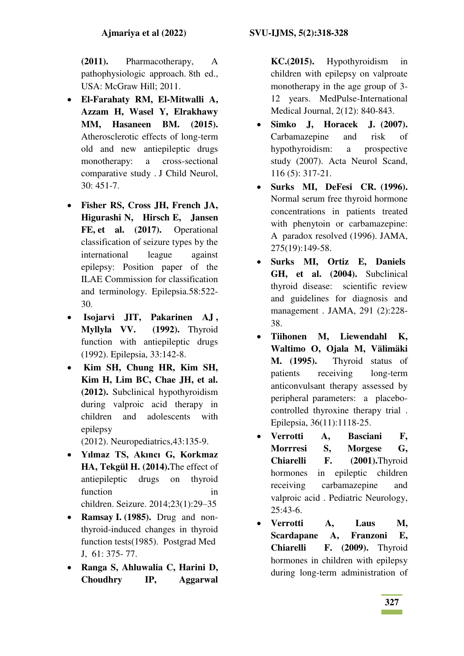**(2011).** Pharmacotherapy, A pathophysiologic approach. 8th ed., USA: McGraw Hill; 2011.

- **El-Farahaty RM, El-Mitwalli A, Azzam H, Wasel Y, Elrakhawy MM, Hasaneen BM. (2015).** Atherosclerotic effects of long-term old and new antiepileptic drugs monotherapy: a cross-sectional comparative study . J Child Neurol, 30: 451-7.
- **Fisher RS, Cross JH, French JA, Higurashi N, Hirsch E, Jansen**  FE, et al. (2017). Operational classification of seizure types by the international league against epilepsy: Position paper of the ILAE Commission for classification and terminology. Epilepsia.58:522- 30.
- **Isojarvi JIT, Pakarinen AJ , Myllyla VV. (1992).** Thyroid function with antiepileptic drugs (1992). Epilepsia, 33:142-8.
- **Kim SH, Chung HR, Kim SH, Kim H, Lim BC, Chae JH, et al. (2012).** Subclinical hypothyroidism during valproic acid therapy in children and adolescents with epilepsy

(2012). Neuropediatrics,43:135-9.

- **Yılmaz TS, Akıncı G, Korkmaz HA, Tekgül H. (2014).**The effect of antiepileptic drugs on thyroid function in in children. Seizure. 2014;23(1):29–35
- **Ramsay I. (1985).** Drug and nonthyroid-induced changes in thyroid function tests(1985). Postgrad Med J, 61: 375- 77.
- **Ranga S, Ahluwalia C, Harini D, Choudhry IP, Aggarwal**

**KC.(2015).** Hypothyroidism in children with epilepsy on valproate monotherapy in the age group of 3- 12 years. MedPulse-International Medical Journal, 2(12): 840-843.

- **Simko J, Horacek J. (2007).** Carbamazepine and risk of hypothyroidism: a prospective study (2007). Acta Neurol Scand, 116 (5): 317-21.
- **Surks MI, DeFesi CR. (1996).**  Normal serum free thyroid hormone concentrations in patients treated with phenytoin or carbamazepine: A paradox resolved (1996). JAMA, 275(19):149-58.
- **Surks MI, Ortiz E, Daniels GH, et al. (2004).** Subclinical thyroid disease: scientific review and guidelines for diagnosis and management . JAMA, 291 (2):228- 38.
- **Tiihonen M, Liewendahl K, Waltimo O, Ojala M, Välimäki M. (1995).** Thyroid status of patients receiving long-term anticonvulsant therapy assessed by peripheral parameters: a placebocontrolled thyroxine therapy trial . Epilepsia, 36(11):1118-25.
- **Verrotti A, Basciani F, Morrresi S, Morgese G, Chiarelli F. (2001).**Thyroid hormones in epileptic children receiving carbamazepine and valproic acid . Pediatric Neurology, 25:43-6.
- **Verrotti A, Laus M, Scardapane A, Franzoni E, Chiarelli F. (2009).** Thyroid hormones in children with epilepsy during long-term administration of